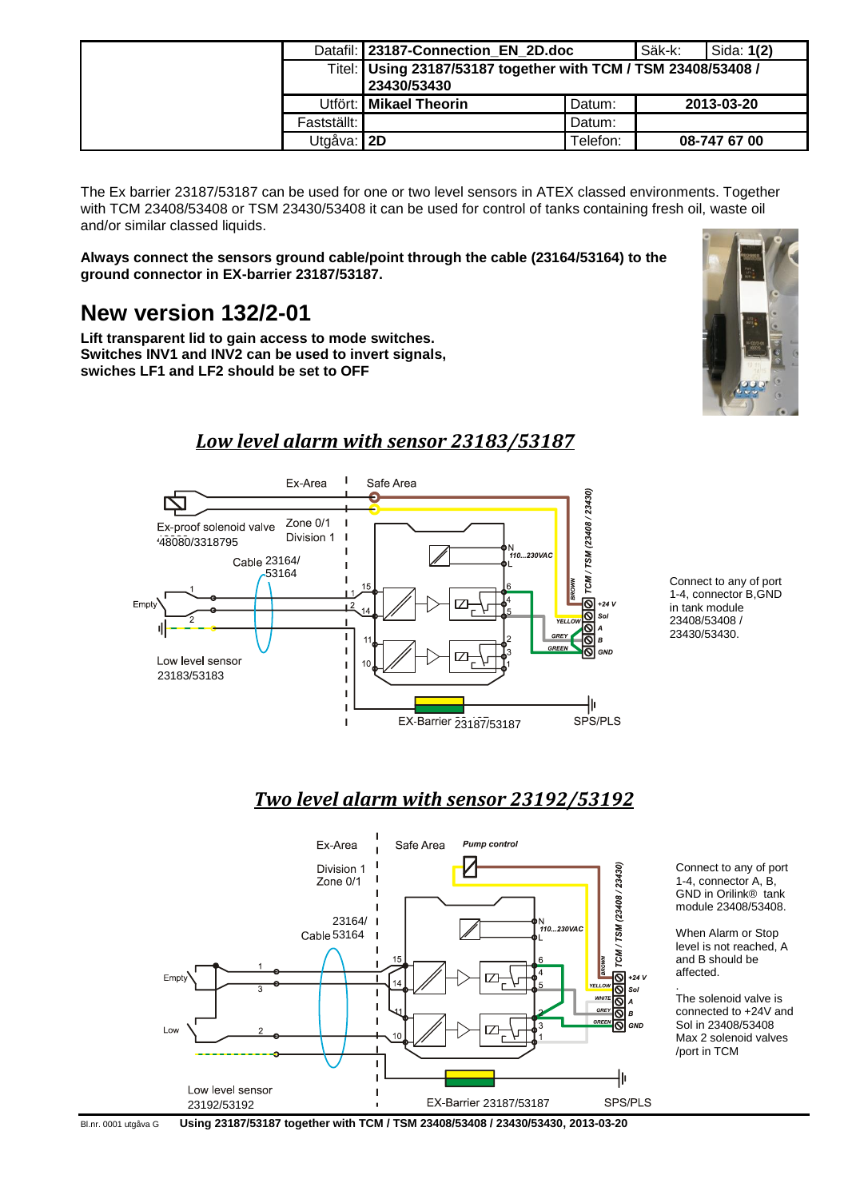|             | Datafil: 23187-Connection_EN_2D.doc                                           | Säk-k:   | Sida: <b>1(2)</b> |              |
|-------------|-------------------------------------------------------------------------------|----------|-------------------|--------------|
|             | Titel: Using 23187/53187 together with TCM / TSM 23408/53408 /<br>23430/53430 |          |                   |              |
|             | Utfört: Mikael Theorin                                                        | Datum:   |                   | 2013-03-20   |
| Fastställt: |                                                                               | Datum:   |                   |              |
| Utgåva: 2D  |                                                                               | Telefon: |                   | 08-747 67 00 |

The Ex barrier 23187/53187 can be used for one or two level sensors in ATEX classed environments. Together with TCM 23408/53408 or TSM 23430/53408 it can be used for control of tanks containing fresh oil, waste oil and/or similar classed liquids.

**Always connect the sensors ground cable/point through the cable (23164/53164) to the ground connector in EX-barrier 23187/53187.**

## **New version 132/2-01**

**Lift transparent lid to gain access to mode switches. Switches INV1 and INV2 can be used to invert signals, swiches LF1 and LF2 should be set to OFF**



## *Low level alarm with sensor 23183/53187*



Connect to any of port 1-4, connector B,GND in tank module 23408/53408 / 23430/53430.

## *Two level alarm with sensor 23192/53192*



Connect to any of port 1-4, connector A, B, GND in Orilink® tank module 23408/53408.

When Alarm or Stop level is not reached, A and B should be affected.

. The solenoid valve is connected to +24V and Sol in 23408/53408 Max 2 solenoid valves /port in TCM